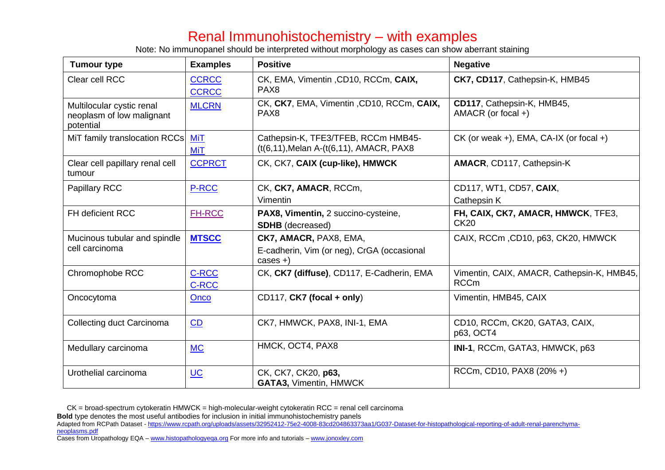## Renal Immunohistochemistry – with examples

Note: No immunopanel should be interpreted without morphology as cases can show aberrant staining

| <b>Tumour type</b>                                                  | <b>Examples</b>              | <b>Positive</b>                                                                    | <b>Negative</b>                                           |
|---------------------------------------------------------------------|------------------------------|------------------------------------------------------------------------------------|-----------------------------------------------------------|
| Clear cell RCC                                                      | <b>CCRCC</b><br><b>CCRCC</b> | CK, EMA, Vimentin, CD10, RCCm, CAIX,<br>PAX <sub>8</sub>                           | CK7, CD117, Cathepsin-K, HMB45                            |
| Multilocular cystic renal<br>neoplasm of low malignant<br>potential | <b>MLCRN</b>                 | CK, CK7, EMA, Vimentin, CD10, RCCm, CAIX,<br>PAX <sub>8</sub>                      | CD117, Cathepsin-K, HMB45,<br>AMACR (or focal +)          |
| MiT family translocation RCCs                                       | <b>MiT</b><br><b>MiT</b>     | Cathepsin-K, TFE3/TFEB, RCCm HMB45-<br>(t(6,11), Melan A-(t(6,11), AMACR, PAX8     | $CK$ (or weak +), EMA, CA-IX (or focal +)                 |
| Clear cell papillary renal cell<br>tumour                           | <b>CCPRCT</b>                | CK, CK7, CAIX (cup-like), HMWCK                                                    | AMACR, CD117, Cathepsin-K                                 |
| <b>Papillary RCC</b>                                                | P-RCC                        | CK, CK7, AMACR, RCCm,<br>Vimentin                                                  | CD117, WT1, CD57, CAIX,<br>Cathepsin K                    |
| <b>FH deficient RCC</b>                                             | <b>FH-RCC</b>                | PAX8, Vimentin, 2 succino-cysteine,<br><b>SDHB</b> (decreased)                     | FH, CAIX, CK7, AMACR, HMWCK, TFE3,<br><b>CK20</b>         |
| Mucinous tubular and spindle<br>cell carcinoma                      | <b>MTSCC</b>                 | CK7, AMACR, PAX8, EMA,<br>E-cadherin, Vim (or neg), CrGA (occasional<br>$cases +)$ | CAIX, RCCm, CD10, p63, CK20, HMWCK                        |
| Chromophobe RCC                                                     | <b>C-RCC</b><br><b>C-RCC</b> | CK, CK7 (diffuse), CD117, E-Cadherin, EMA                                          | Vimentin, CAIX, AMACR, Cathepsin-K, HMB45,<br><b>RCCm</b> |
| Oncocytoma                                                          | Onco                         | CD117, CK7 (focal + only)                                                          | Vimentin, HMB45, CAIX                                     |
| Collecting duct Carcinoma                                           | CD                           | CK7, HMWCK, PAX8, INI-1, EMA                                                       | CD10, RCCm, CK20, GATA3, CAIX,<br>p63, OCT4               |
| Medullary carcinoma                                                 | <b>MC</b>                    | HMCK, OCT4, PAX8                                                                   | INI-1, RCCm, GATA3, HMWCK, p63                            |
| Urothelial carcinoma                                                | $UC$                         | CK, CK7, CK20, p63,<br><b>GATA3, Vimentin, HMWCK</b>                               | RCCm, CD10, PAX8 (20% +)                                  |

CK = broad-spectrum cytokeratin HMWCK = high-molecular-weight cytokeratin RCC = renal cell carcinoma

**Bold** type denotes the most useful antibodies for inclusion in initial immunohistochemistry panels

- Adapted from RCPath Dataset [https://www.rcpath.org/uploads/assets/32952412-75e2-4008-83cd204863373aa1/G037-Dataset-for-histopathological-reporting-of-adult-renal-parenchyma](https://www.rcpath.org/uploads/assets/32952412-75e2-4008-83cd204863373aa1/G037-Dataset-for-histopathological-reporting-of-adult-renal-parenchyma-neoplasms.pdf)[neoplasms.pdf](https://www.rcpath.org/uploads/assets/32952412-75e2-4008-83cd204863373aa1/G037-Dataset-for-histopathological-reporting-of-adult-renal-parenchyma-neoplasms.pdf)
- Cases from Uropathology EQA [www.histopathologyeqa.org](http://www.histopathologyeqa.org/) For more info and tutorials [www.jonoxley.com](file:///C:/Users/JDO/AppData/Local/Microsoft/Windows/INetCache/Content.Outlook/4TZE4OPS/www.jonoxley.com)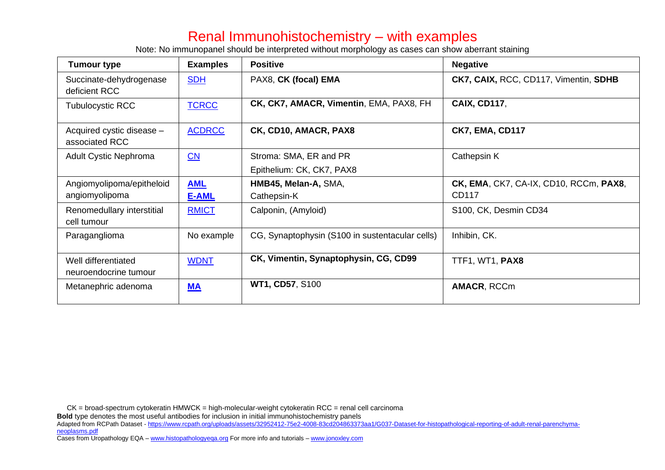## Renal Immunohistochemistry – with examples

Note: No immunopanel should be interpreted without morphology as cases can show aberrant staining

| Tumour type                                  | <b>Examples</b>        | <b>Positive</b>                                     | <b>Negative</b>                                 |
|----------------------------------------------|------------------------|-----------------------------------------------------|-------------------------------------------------|
| Succinate-dehydrogenase<br>deficient RCC     | <b>SDH</b>             | PAX8, CK (focal) EMA                                | CK7, CAIX, RCC, CD117, Vimentin, SDHB           |
| <b>Tubulocystic RCC</b>                      | <b>TCRCC</b>           | CK, CK7, AMACR, Vimentin, EMA, PAX8, FH             | <b>CAIX, CD117,</b>                             |
| Acquired cystic disease -<br>associated RCC  | <b>ACDRCC</b>          | CK, CD10, AMACR, PAX8                               | <b>CK7, EMA, CD117</b>                          |
| <b>Adult Cystic Nephroma</b>                 | $\overline{\text{CN}}$ | Stroma: SMA, ER and PR<br>Epithelium: CK, CK7, PAX8 | Cathepsin K                                     |
| Angiomyolipoma/epitheloid<br>angiomyolipoma  | <b>AML</b>             | HMB45, Melan-A, SMA,                                | CK, EMA, CK7, CA-IX, CD10, RCCm, PAX8,<br>CD117 |
| Renomedullary interstitial<br>cell tumour    | E-AML<br><b>RMICT</b>  | Cathepsin-K<br>Calponin, (Amyloid)                  | S100, CK, Desmin CD34                           |
| Paraganglioma                                | No example             | CG, Synaptophysin (S100 in sustentacular cells)     | Inhibin, CK.                                    |
| Well differentiated<br>neuroendocrine tumour | <b>WDNT</b>            | CK, Vimentin, Synaptophysin, CG, CD99               | TTF1, WT1, PAX8                                 |
| Metanephric adenoma                          | $M_A$                  | <b>WT1, CD57, S100</b>                              | AMACR, RCCm                                     |

**Bold** type denotes the most useful antibodies for inclusion in initial immunohistochemistry panels

Adapted from RCPath Dataset - [https://www.rcpath.org/uploads/assets/32952412-75e2-4008-83cd204863373aa1/G037-Dataset-for-histopathological-reporting-of-adult-renal-parenchyma](https://www.rcpath.org/uploads/assets/32952412-75e2-4008-83cd204863373aa1/G037-Dataset-for-histopathological-reporting-of-adult-renal-parenchyma-neoplasms.pdf)[neoplasms.pdf](https://www.rcpath.org/uploads/assets/32952412-75e2-4008-83cd204863373aa1/G037-Dataset-for-histopathological-reporting-of-adult-renal-parenchyma-neoplasms.pdf)

CK = broad-spectrum cytokeratin HMWCK = high-molecular-weight cytokeratin RCC = renal cell carcinoma